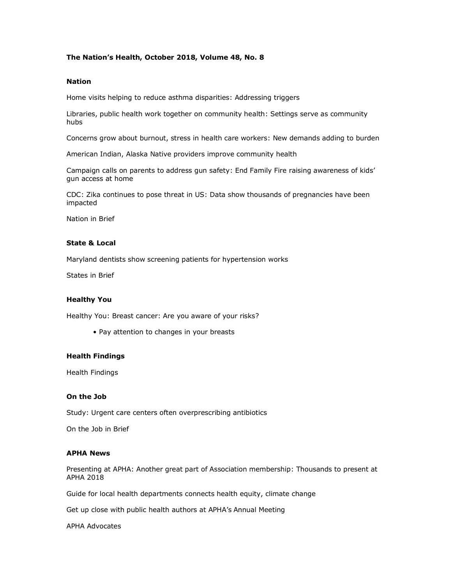# **The Nation's Health, October 2018, Volume 48, No. 8**

### **Nation**

Home visits helping to reduce asthma disparities: Addressing triggers

Libraries, public health work together on community health: Settings serve as community hubs

Concerns grow about burnout, stress in health care workers: New demands adding to burden

American Indian, Alaska Native providers improve community health

Campaign calls on parents to address gun safety: End Family Fire raising awareness of kids' gun access at home

CDC: Zika continues to pose threat in US: Data show thousands of pregnancies have been impacted

Nation in Brief

## **State & Local**

Maryland dentists show screening patients for hypertension works

States in Brief

### **Healthy You**

Healthy You: Breast cancer: Are you aware of your risks?

• Pay attention to changes in your breasts

### **Health Findings**

Health Findings

# **On the Job**

Study: Urgent care centers often overprescribing antibiotics

On the Job in Brief

### **APHA News**

Presenting at APHA: Another great part of Association membership: Thousands to present at APHA 2018

Guide for local health departments connects health equity, climate change

Get up close with public health authors at APHA's Annual Meeting

APHA Advocates